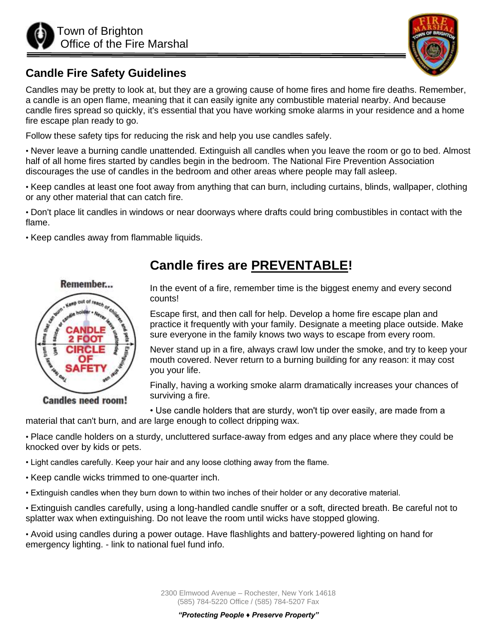



#### **Candle Fire Safety Guidelines**

Candles may be pretty to look at, but they are a growing cause of home fires and home fire deaths. Remember, a candle is an open flame, meaning that it can easily ignite any combustible material nearby. And because candle fires spread so quickly, it's essential that you have working smoke alarms in your residence and a home fire escape plan ready to go.

Follow these safety tips for reducing the risk and help you use candles safely.

• Never leave a burning candle unattended. Extinguish all candles when you leave the room or go to bed. Almost half of all home fires started by candles begin in the bedroom. The National Fire Prevention Association discourages the use of candles in the bedroom and other areas where people may fall asleep.

• Keep candles at least one foot away from anything that can burn, including curtains, blinds, wallpaper, clothing or any other material that can catch fire.

• Don't place lit candles in windows or near doorways where drafts could bring combustibles in contact with the flame.

• Keep candles away from flammable liquids.



**Candles need room!** 

# **Candle fires are PREVENTABLE!**

In the event of a fire, remember time is the biggest enemy and every second counts!

Escape first, and then call for help. Develop a home fire escape plan and practice it frequently with your family. Designate a meeting place outside. Make sure everyone in the family knows two ways to escape from every room.

Never stand up in a fire, always crawl low under the smoke, and try to keep your mouth covered. Never return to a burning building for any reason: it may cost you your life.

Finally, having a working smoke alarm dramatically increases your chances of surviving a fire.

• Use candle holders that are sturdy, won't tip over easily, are made from a material that can't burn, and are large enough to collect dripping wax.

• Place candle holders on a sturdy, uncluttered surface-away from edges and any place where they could be knocked over by kids or pets.

- Light candles carefully. Keep your hair and any loose clothing away from the flame.
- Keep candle wicks trimmed to one-quarter inch.
- Extinguish candles when they burn down to within two inches of their holder or any decorative material.

• Extinguish candles carefully, using a long-handled candle snuffer or a soft, directed breath. Be careful not to splatter wax when extinguishing. Do not leave the room until wicks have stopped glowing.

• Avoid using candles during a power outage. Have flashlights and battery-powered lighting on hand for emergency lighting. - link to national fuel fund info.